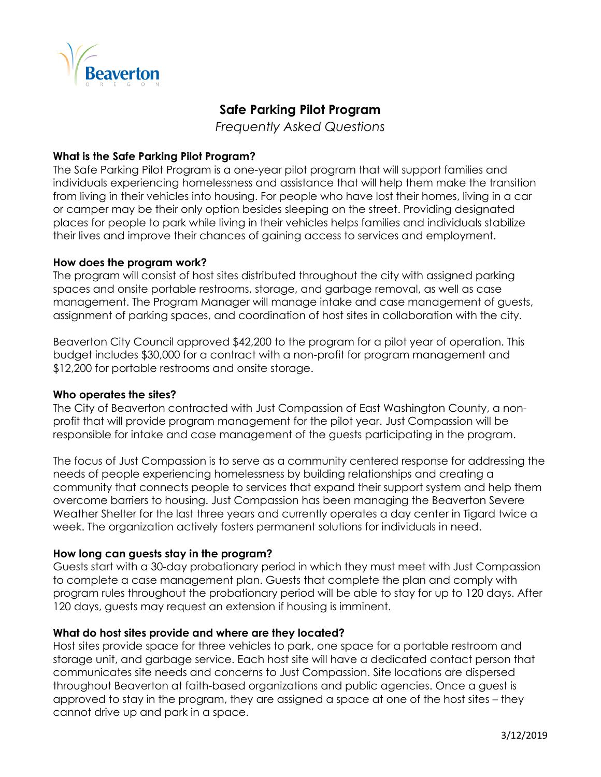



# **Safe Parking Pilot Program**

*Frequently Asked Questions* 

# **What is the Safe Parking Pilot Program?**

The Safe Parking Pilot Program is a one-year pilot program that will support families and individuals experiencing homelessness and assistance that will help them make the transition from living in their vehicles into housing. For people who have lost their homes, living in a car or camper may be their only option besides sleeping on the street. Providing designated places for people to park while living in their vehicles helps families and individuals stabilize their lives and improve their chances of gaining access to services and employment.

# **How does the program work?**

The program will consist of host sites distributed throughout the city with assigned parking spaces and onsite portable restrooms, storage, and garbage removal, as well as case management. The Program Manager will manage intake and case management of guests, assignment of parking spaces, and coordination of host sites in collaboration with the city.

Beaverton City Council approved \$42,200 to the program for a pilot year of operation. This budget includes \$30,000 for a contract with a non-profit for program management and \$12,200 for portable restrooms and onsite storage.

# **Who operates the sites?**

The City of Beaverton contracted with Just Compassion of East Washington County, a nonprofit that will provide program management for the pilot year. Just Compassion will be responsible for intake and case management of the guests participating in the program.

The focus of Just Compassion is to serve as a community centered response for addressing the needs of people experiencing homelessness by building relationships and creating a community that connects people to services that expand their support system and help them overcome barriers to housing. Just Compassion has been managing the Beaverton Severe Weather Shelter for the last three years and currently operates a day center in Tigard twice a week. The organization actively fosters permanent solutions for individuals in need.

# **How long can guests stay in the program?**

Guests start with a 30-day probationary period in which they must meet with Just Compassion to complete a case management plan. Guests that complete the plan and comply with program rules throughout the probationary period will be able to stay for up to 120 days. After 120 days, guests may request an extension if housing is imminent.

# **What do host sites provide and where are they located?**

Host sites provide space for three vehicles to park, one space for a portable restroom and storage unit, and garbage service. Each host site will have a dedicated contact person that communicates site needs and concerns to Just Compassion. Site locations are dispersed throughout Beaverton at faith-based organizations and public agencies. Once a guest is approved to stay in the program, they are assigned a space at one of the host sites – they cannot drive up and park in a space.